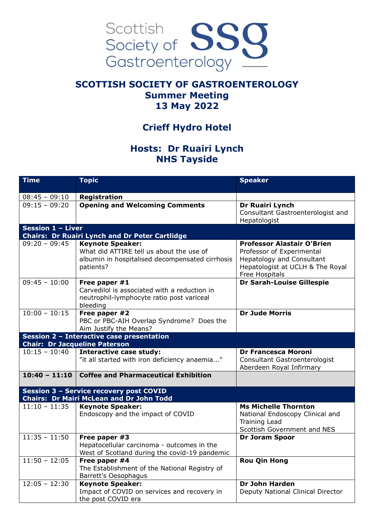

## **SCOTTISH SOCIETY OF GASTROENTEROLOGY Summer Meeting 13 May 2022**

## **Crieff Hydro Hotel**

## **Hosts: Dr Ruairi Lynch NHS Tayside**

| <b>Time</b>                                                                                | <b>Topic</b>                                                                                                                        | <b>Speaker</b>                                                                                                                                           |  |
|--------------------------------------------------------------------------------------------|-------------------------------------------------------------------------------------------------------------------------------------|----------------------------------------------------------------------------------------------------------------------------------------------------------|--|
| $08:45 - 09:10$                                                                            | Registration                                                                                                                        |                                                                                                                                                          |  |
| $09:15 - 09:20$                                                                            | <b>Opening and Welcoming Comments</b>                                                                                               | Dr Ruairi Lynch<br>Consultant Gastroenterologist and<br>Hepatologist                                                                                     |  |
| <b>Session 1 - Liver</b>                                                                   |                                                                                                                                     |                                                                                                                                                          |  |
|                                                                                            | <b>Chairs: Dr Ruairi Lynch and Dr Peter Cartlidge</b>                                                                               |                                                                                                                                                          |  |
| $09:20 - 09:45$                                                                            | <b>Keynote Speaker:</b><br>What did ATTIRE tell us about the use of<br>albumin in hospitalised decompensated cirrhosis<br>patients? | <b>Professor Alastair O'Brien</b><br>Professor of Experimental<br><b>Hepatology and Consultant</b><br>Hepatologist at UCLH & The Royal<br>Free Hospitals |  |
| $09:45 - 10:00$                                                                            | Free paper #1<br>Carvedilol is associated with a reduction in<br>neutrophil-lymphocyte ratio post variceal<br>bleeding              | Dr Sarah-Louise Gillespie                                                                                                                                |  |
| $10:00 - 10:15$                                                                            | Free paper #2<br>PBC or PBC-AIH Overlap Syndrome? Does the<br>Aim Justify the Means?                                                | <b>Dr Jude Morris</b>                                                                                                                                    |  |
| Session 2 - Interactive case presentation<br><b>Chair: Dr Jacqueline Paterson</b>          |                                                                                                                                     |                                                                                                                                                          |  |
| $10:15 - 10:40$                                                                            | <b>Interactive case study:</b><br>"it all started with iron deficiency anaemia"                                                     | <b>Dr Francesca Moroni</b><br>Consultant Gastroenterologist<br>Aberdeen Royal Infirmary                                                                  |  |
| $10:40 - 11:10$                                                                            | <b>Coffee and Pharmaceutical Exhibition</b>                                                                                         |                                                                                                                                                          |  |
| Session 3 - Service recovery post COVID<br><b>Chairs: Dr Mairi McLean and Dr John Todd</b> |                                                                                                                                     |                                                                                                                                                          |  |
| $11:10 - 11:35$                                                                            | <b>Keynote Speaker:</b><br>Endoscopy and the impact of COVID                                                                        | <b>Ms Michelle Thornton</b><br>National Endoscopy Clinical and<br><b>Training Lead</b><br>Scottish Government and NES                                    |  |
| $11:35 - 11:50$                                                                            | Free paper #3<br>Hepatocellular carcinoma - outcomes in the<br>West of Scotland during the covid-19 pandemic                        | <b>Dr Joram Spoor</b>                                                                                                                                    |  |
| $11:50 - 12:05$                                                                            | Free paper #4<br>The Establishment of the National Registry of<br>Barrett's Oesophagus                                              | <b>Rou Qin Hong</b>                                                                                                                                      |  |
| $12:05 - 12:30$                                                                            | <b>Keynote Speaker:</b><br>Impact of COVID on services and recovery in<br>the post COVID era                                        | <b>Dr John Harden</b><br>Deputy National Clinical Director                                                                                               |  |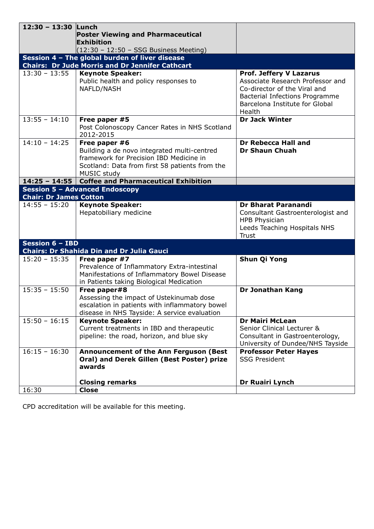| 12:30 - 13:30 Lunch                                                    |                                                                  |                                                                    |  |
|------------------------------------------------------------------------|------------------------------------------------------------------|--------------------------------------------------------------------|--|
|                                                                        | <b>Poster Viewing and Pharmaceutical</b>                         |                                                                    |  |
|                                                                        | Exhibition                                                       |                                                                    |  |
|                                                                        | $(12:30 - 12:50 - SSG Business Meeting)$                         |                                                                    |  |
| Session 4 - The global burden of liver disease                         |                                                                  |                                                                    |  |
|                                                                        | <b>Chairs: Dr Jude Morris and Dr Jennifer Cathcart</b>           |                                                                    |  |
| $13:30 - 13:55$                                                        | <b>Keynote Speaker:</b><br>Public health and policy responses to | <b>Prof. Jeffery V Lazarus</b><br>Associate Research Professor and |  |
|                                                                        | NAFLD/NASH                                                       | Co-director of the Viral and                                       |  |
|                                                                        |                                                                  | <b>Bacterial Infections Programme</b>                              |  |
|                                                                        |                                                                  | Barcelona Institute for Global                                     |  |
|                                                                        |                                                                  | Health                                                             |  |
| $13:55 - 14:10$                                                        | Free paper #5                                                    | <b>Dr Jack Winter</b>                                              |  |
|                                                                        | Post Colonoscopy Cancer Rates in NHS Scotland<br>2012-2015       |                                                                    |  |
| $14:10 - 14:25$                                                        | Free paper #6                                                    | <b>Dr Rebecca Hall and</b>                                         |  |
|                                                                        | Building a de novo integrated multi-centred                      | <b>Dr Shaun Chuah</b>                                              |  |
|                                                                        | framework for Precision IBD Medicine in                          |                                                                    |  |
|                                                                        | Scotland: Data from first 58 patients from the                   |                                                                    |  |
| $14:25 - 14:55$                                                        | MUSIC study<br><b>Coffee and Pharmaceutical Exhibition</b>       |                                                                    |  |
|                                                                        |                                                                  |                                                                    |  |
| <b>Session 5 - Advanced Endoscopy</b><br><b>Chair: Dr James Cotton</b> |                                                                  |                                                                    |  |
| $14:55 - 15:20$                                                        | <b>Keynote Speaker:</b>                                          | Dr Bharat Paranandi                                                |  |
|                                                                        | Hepatobiliary medicine                                           | Consultant Gastroenterologist and                                  |  |
|                                                                        |                                                                  | <b>HPB Physician</b>                                               |  |
|                                                                        |                                                                  | Leeds Teaching Hospitals NHS                                       |  |
|                                                                        |                                                                  | <b>Trust</b>                                                       |  |
| <b>Session 6 - IBD</b>                                                 |                                                                  |                                                                    |  |
|                                                                        | <b>Chairs: Dr Shahida Din and Dr Julia Gauci</b>                 |                                                                    |  |
| $15:20 - 15:35$                                                        | Free paper #7<br>Prevalence of Inflammatory Extra-intestinal     | Shun Qi Yong                                                       |  |
|                                                                        | Manifestations of Inflammatory Bowel Disease                     |                                                                    |  |
|                                                                        | in Patients taking Biological Medication                         |                                                                    |  |
| $15:35 - 15:50$                                                        | Free paper#8                                                     | Dr Jonathan Kang                                                   |  |
|                                                                        | Assessing the impact of Ustekinumab dose                         |                                                                    |  |
|                                                                        | escalation in patients with inflammatory bowel                   |                                                                    |  |
|                                                                        | disease in NHS Tayside: A service evaluation                     |                                                                    |  |
| $15:50 - 16:15$                                                        | <b>Keynote Speaker:</b>                                          | <b>Dr Mairi McLean</b>                                             |  |
|                                                                        | Current treatments in IBD and therapeutic                        | Senior Clinical Lecturer &                                         |  |
|                                                                        | pipeline: the road, horizon, and blue sky                        | Consultant in Gastroenterology,                                    |  |
| $16:15 - 16:30$                                                        | <b>Announcement of the Ann Ferguson (Best</b>                    | University of Dundee/NHS Tayside<br><b>Professor Peter Hayes</b>   |  |
|                                                                        | Oral) and Derek Gillen (Best Poster) prize                       | <b>SSG President</b>                                               |  |
|                                                                        | awards                                                           |                                                                    |  |
|                                                                        |                                                                  |                                                                    |  |
|                                                                        | <b>Closing remarks</b>                                           | Dr Ruairi Lynch                                                    |  |
| 16:30                                                                  | <b>Close</b>                                                     |                                                                    |  |

CPD accreditation will be available for this meeting.